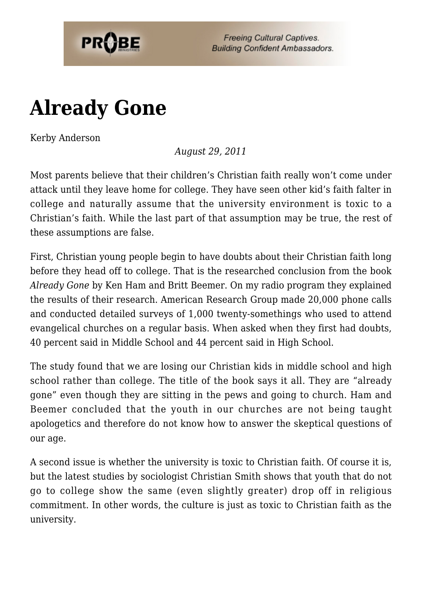

**Freeing Cultural Captives. Building Confident Ambassadors.** 

## **[Already Gone](https://probe.org/already-gone/)**

Kerby Anderson

*August 29, 2011*

Most parents believe that their children's Christian faith really won't come under attack until they leave home for college. They have seen other kid's faith falter in college and naturally assume that the university environment is toxic to a Christian's faith. While the last part of that assumption may be true, the rest of these assumptions are false.

First, Christian young people begin to have doubts about their Christian faith long before they head off to college. That is the researched conclusion from the book *Already Gone* by Ken Ham and Britt Beemer. On my radio program they explained the results of their research. American Research Group made 20,000 phone calls and conducted detailed surveys of 1,000 twenty-somethings who used to attend evangelical churches on a regular basis. When asked when they first had doubts, 40 percent said in Middle School and 44 percent said in High School.

The study found that we are losing our Christian kids in middle school and high school rather than college. The title of the book says it all. They are "already gone" even though they are sitting in the pews and going to church. Ham and Beemer concluded that the youth in our churches are not being taught apologetics and therefore do not know how to answer the skeptical questions of our age.

A second issue is whether the university is toxic to Christian faith. Of course it is, but the latest studies by sociologist Christian Smith shows that youth that do not go to college show the same (even slightly greater) drop off in religious commitment. In other words, the culture is just as toxic to Christian faith as the university.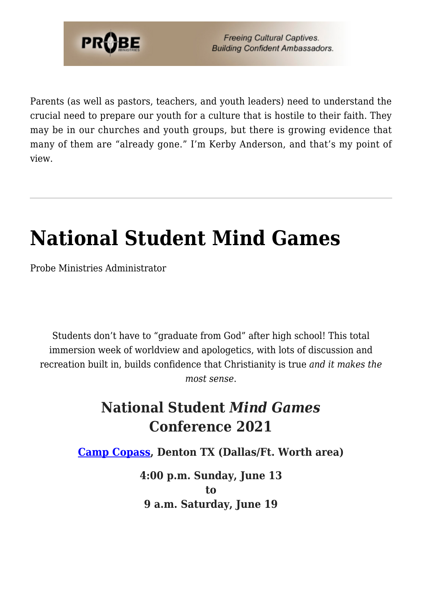

Parents (as well as pastors, teachers, and youth leaders) need to understand the crucial need to prepare our youth for a culture that is hostile to their faith. They may be in our churches and youth groups, but there is growing evidence that many of them are "already gone." I'm Kerby Anderson, and that's my point of view.

## **[National Student Mind Games](https://probe.org/national-student-mind-games/)**

Probe Ministries Administrator

Students don't have to "graduate from God" after high school! This total immersion week of worldview and apologetics, with lots of discussion and recreation built in, builds confidence that Christianity is true *and it makes the most sense*.

## **National Student** *Mind Games* **Conference 2021**

**[Camp Copass](http://www.campcopass.com), Denton TX (Dallas/Ft. Worth area)**

**4:00 p.m. Sunday, June 13 to 9 a.m. Saturday, June 19**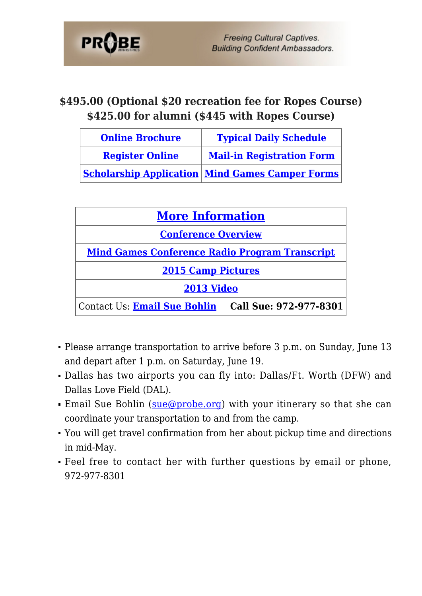

## **\$495.00 (Optional \$20 recreation fee for Ropes Course) \$425.00 for alumni (\$445 with Ropes Course)**

| <b>Online Brochure</b> | <b>Typical Daily Schedule</b>                          |
|------------------------|--------------------------------------------------------|
| <b>Register Online</b> | <b>Mail-in Registration Form</b>                       |
|                        | <b>Scholarship Application Mind Games Camper Forms</b> |

| <b>More Information</b>                               |                        |  |
|-------------------------------------------------------|------------------------|--|
| <b>Conference Overview</b>                            |                        |  |
| <b>Mind Games Conference Radio Program Transcript</b> |                        |  |
| <b>2015 Camp Pictures</b>                             |                        |  |
| 2013 Video                                            |                        |  |
| Contact Us: Email Sue Bohlin                          | Call Sue: 972-977-8301 |  |

- Please arrange transportation to arrive before 3 p.m. on Sunday, June 13 and depart after 1 p.m. on Saturday, June 19.
- Dallas has two airports you can fly into: Dallas/Ft. Worth (DFW) and Dallas Love Field (DAL).
- Email Sue Bohlin ([sue@probe.org\)](mailto:sue@probe.org) with your itinerary so that she can coordinate your transportation to and from the camp.
- You will get travel confirmation from her about pickup time and directions in mid-May.
- Feel free to contact her with further questions by email or phone, 972-977-8301